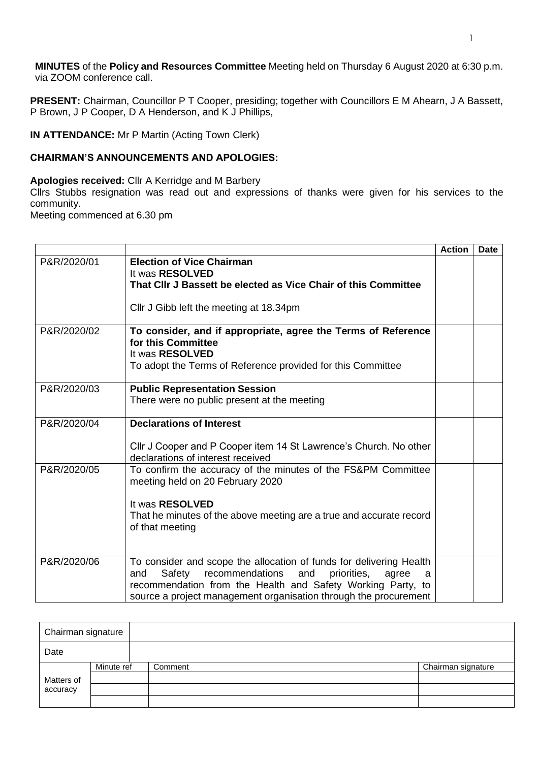**MINUTES** of the **Policy and Resources Committee** Meeting held on Thursday 6 August 2020 at 6:30 p.m. via ZOOM conference call.

**PRESENT:** Chairman, Councillor P T Cooper, presiding; together with Councillors E M Ahearn, J A Bassett, P Brown, J P Cooper, D A Henderson, and K J Phillips,

**IN ATTENDANCE:** Mr P Martin (Acting Town Clerk)

## **CHAIRMAN'S ANNOUNCEMENTS AND APOLOGIES:**

## **Apologies received:** Cllr A Kerridge and M Barbery

Cllrs Stubbs resignation was read out and expressions of thanks were given for his services to the community.

Meeting commenced at 6.30 pm

|             |                                                                                                                                                                                                                                                                                | <b>Action</b> | Date |
|-------------|--------------------------------------------------------------------------------------------------------------------------------------------------------------------------------------------------------------------------------------------------------------------------------|---------------|------|
| P&R/2020/01 | <b>Election of Vice Chairman</b><br>It was RESOLVED<br>That CIIr J Bassett be elected as Vice Chair of this Committee<br>Cllr J Gibb left the meeting at 18.34pm                                                                                                               |               |      |
| P&R/2020/02 | To consider, and if appropriate, agree the Terms of Reference<br>for this Committee<br>It was RESOLVED<br>To adopt the Terms of Reference provided for this Committee                                                                                                          |               |      |
| P&R/2020/03 | <b>Public Representation Session</b><br>There were no public present at the meeting                                                                                                                                                                                            |               |      |
| P&R/2020/04 | <b>Declarations of Interest</b><br>CIIr J Cooper and P Cooper item 14 St Lawrence's Church. No other<br>declarations of interest received                                                                                                                                      |               |      |
| P&R/2020/05 | To confirm the accuracy of the minutes of the FS&PM Committee<br>meeting held on 20 February 2020<br>It was RESOLVED<br>That he minutes of the above meeting are a true and accurate record<br>of that meeting                                                                 |               |      |
| P&R/2020/06 | To consider and scope the allocation of funds for delivering Health<br>recommendations<br>Safety<br>and<br>priorities,<br>and<br>agree<br>a<br>recommendation from the Health and Safety Working Party, to<br>source a project management organisation through the procurement |               |      |

| Chairman signature |            |         |                    |
|--------------------|------------|---------|--------------------|
| Date               |            |         |                    |
| Matters of         | Minute ref | Comment | Chairman signature |
|                    |            |         |                    |
| accuracy           |            |         |                    |
|                    |            |         |                    |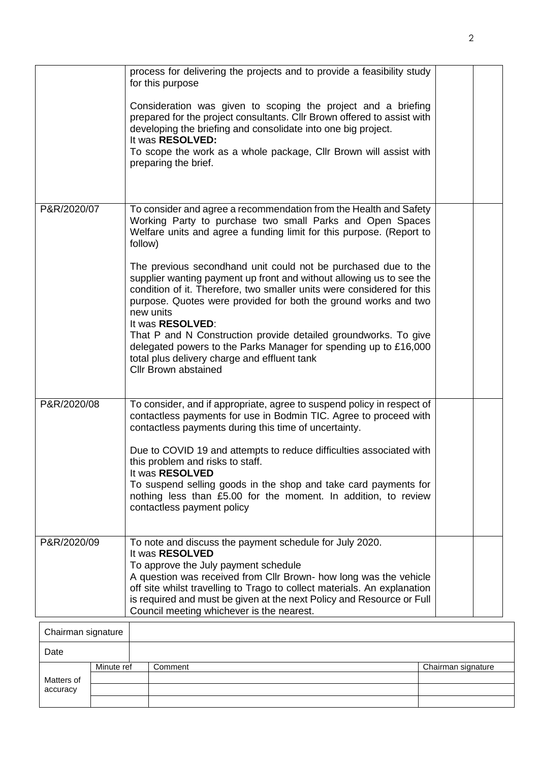|                    | process for delivering the projects and to provide a feasibility study<br>for this purpose<br>Consideration was given to scoping the project and a briefing<br>prepared for the project consultants. Cllr Brown offered to assist with<br>developing the briefing and consolidate into one big project.<br>It was RESOLVED:<br>To scope the work as a whole package, Cllr Brown will assist with<br>preparing the brief.                                                                                                                                                                                                                                                                                                                                        |  |
|--------------------|-----------------------------------------------------------------------------------------------------------------------------------------------------------------------------------------------------------------------------------------------------------------------------------------------------------------------------------------------------------------------------------------------------------------------------------------------------------------------------------------------------------------------------------------------------------------------------------------------------------------------------------------------------------------------------------------------------------------------------------------------------------------|--|
| P&R/2020/07        | To consider and agree a recommendation from the Health and Safety<br>Working Party to purchase two small Parks and Open Spaces<br>Welfare units and agree a funding limit for this purpose. (Report to<br>follow)<br>The previous secondhand unit could not be purchased due to the<br>supplier wanting payment up front and without allowing us to see the<br>condition of it. Therefore, two smaller units were considered for this<br>purpose. Quotes were provided for both the ground works and two<br>new units<br>It was RESOLVED:<br>That P and N Construction provide detailed groundworks. To give<br>delegated powers to the Parks Manager for spending up to £16,000<br>total plus delivery charge and effluent tank<br><b>Cllr Brown abstained</b> |  |
| P&R/2020/08        | To consider, and if appropriate, agree to suspend policy in respect of<br>contactless payments for use in Bodmin TIC. Agree to proceed with<br>contactless payments during this time of uncertainty.<br>Due to COVID 19 and attempts to reduce difficulties associated with<br>this problem and risks to staff.<br>It was RESOLVED<br>To suspend selling goods in the shop and take card payments for<br>nothing less than £5.00 for the moment. In addition, to review<br>contactless payment policy                                                                                                                                                                                                                                                           |  |
| P&R/2020/09        | To note and discuss the payment schedule for July 2020.<br>It was RESOLVED<br>To approve the July payment schedule<br>A question was received from Cllr Brown- how long was the vehicle<br>off site whilst travelling to Trago to collect materials. An explanation<br>is required and must be given at the next Policy and Resource or Full<br>Council meeting whichever is the nearest.                                                                                                                                                                                                                                                                                                                                                                       |  |
| Chairman cinnatura |                                                                                                                                                                                                                                                                                                                                                                                                                                                                                                                                                                                                                                                                                                                                                                 |  |

| Chairman signature     |            |         |                    |
|------------------------|------------|---------|--------------------|
| Date                   |            |         |                    |
|                        | Minute ref | Comment | Chairman signature |
| Matters of<br>accuracy |            |         |                    |
|                        |            |         |                    |
|                        |            |         |                    |